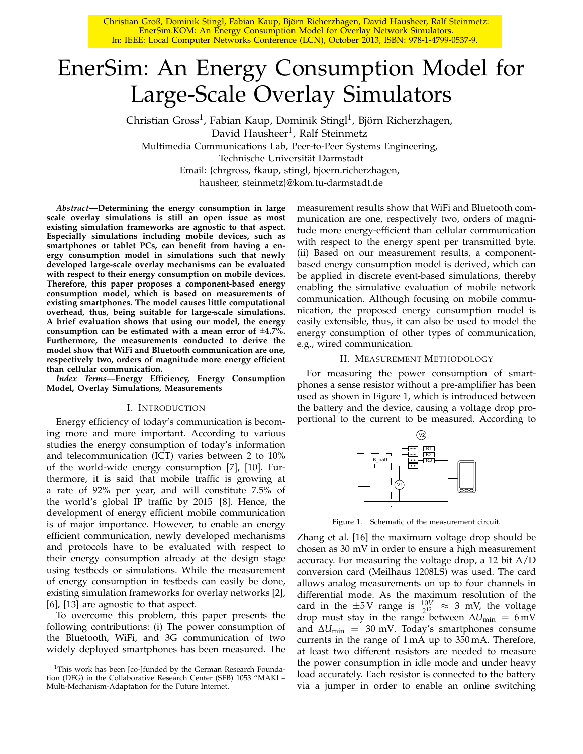Christian Groß, Dominik Stingl, Fabian Kaup, Björn Richerzhagen, David Hausheer, Ralf Steinmetz: EnerSim.KOM: An Energy Consumption Model for Overlay Network Simulators. In: IEEE: Local Computer Networks Conference (LCN), October 2013, ISBN: 978-1-4799-0537-9.

# EnerSim: An Energy Consumption Model for Large-Scale Overlay Simulators

Christian Gross<sup>1</sup>, Fabian Kaup, Dominik Stingl<sup>1</sup>, Björn Richerzhagen, David Hausheer<sup>1</sup>, Ralf Steinmetz Multimedia Communications Lab, Peer-to-Peer Systems Engineering, Technische Universität Darmstadt Email: {chrgross, fkaup, stingl, bjoern.richerzhagen, hausheer, steinmetz}@kom.tu-darmstadt.de

*Abstract***—Determining the energy consumption in large scale overlay simulations is still an open issue as most existing simulation frameworks are agnostic to that aspect. Especially simulations including mobile devices, such as smartphones or tablet PCs, can benefit from having a energy consumption model in simulations such that newly developed large-scale overlay mechanisms can be evaluated with respect to their energy consumption on mobile devices. Therefore, this paper proposes a component-based energy consumption model, which is based on measurements of existing smartphones. The model causes little computational overhead, thus, being suitable for large-scale simulations. A brief evaluation shows that using our model, the energy consumption can be estimated with a mean error of** ±**4.7%. Furthermore, the measurements conducted to derive the model show that WiFi and Bluetooth communication are one, respectively two, orders of magnitude more energy efficient than cellular communication.**

*Index Terms***—Energy Efficiency, Energy Consumption Model, Overlay Simulations, Measurements**

# I. INTRODUCTION

Energy efficiency of today's communication is becoming more and more important. According to various studies the energy consumption of today's information and telecommunication (ICT) varies between 2 to 10% of the world-wide energy consumption [7], [10]. Furthermore, it is said that mobile traffic is growing at a rate of 92% per year, and will constitute 7.5% of the world's global IP traffic by 2015 [8]. Hence, the development of energy efficient mobile communication is of major importance. However, to enable an energy efficient communication, newly developed mechanisms and protocols have to be evaluated with respect to their energy consumption already at the design stage using testbeds or simulations. While the measurement of energy consumption in testbeds can easily be done, existing simulation frameworks for overlay networks [2], [6], [13] are agnostic to that aspect.

To overcome this problem, this paper presents the following contributions: (i) The power consumption of the Bluetooth, WiFi, and 3G communication of two widely deployed smartphones has been measured. The

measurement results show that WiFi and Bluetooth communication are one, respectively two, orders of magnitude more energy-efficient than cellular communication with respect to the energy spent per transmitted byte. (ii) Based on our measurement results, a componentbased energy consumption model is derived, which can be applied in discrete event-based simulations, thereby enabling the simulative evaluation of mobile network communication. Although focusing on mobile communication, the proposed energy consumption model is easily extensible, thus, it can also be used to model the energy consumption of other types of communication, e.g., wired communication.

#### II. MEASUREMENT METHODOLOGY

For measuring the power consumption of smartphones a sense resistor without a pre-amplifier has been used as shown in Figure 1, which is introduced between the battery and the device, causing a voltage drop proportional to the current to be measured. According to



Figure 1. Schematic of the measurement circuit.

Zhang et al. [16] the maximum voltage drop should be chosen as 30 mV in order to ensure a high measurement accuracy. For measuring the voltage drop, a 12 bit A/D conversion card (Meilhaus 1208LS) was used. The card allows analog measurements on up to four channels in differential mode. As the maximum resolution of the card in the  $\pm 5$  V range is  $\frac{10V}{2^{12}} \approx 3$  mV, the voltage drop must stay in the range between  $\Delta U_{\text{min}} = 6$  mV and  $\Delta U_{\text{min}}$  = 30 mV. Today's smartphones consume currents in the range of 1 mA up to 350 mA. Therefore, at least two different resistors are needed to measure the power consumption in idle mode and under heavy load accurately. Each resistor is connected to the battery via a jumper in order to enable an online switching

<sup>&</sup>lt;sup>1</sup>This work has been [co-]funded by the German Research Foundation (DFG) in the Collaborative Research Center (SFB) 1053 "MAKI – Multi-Mechanism-Adaptation for the Future Internet.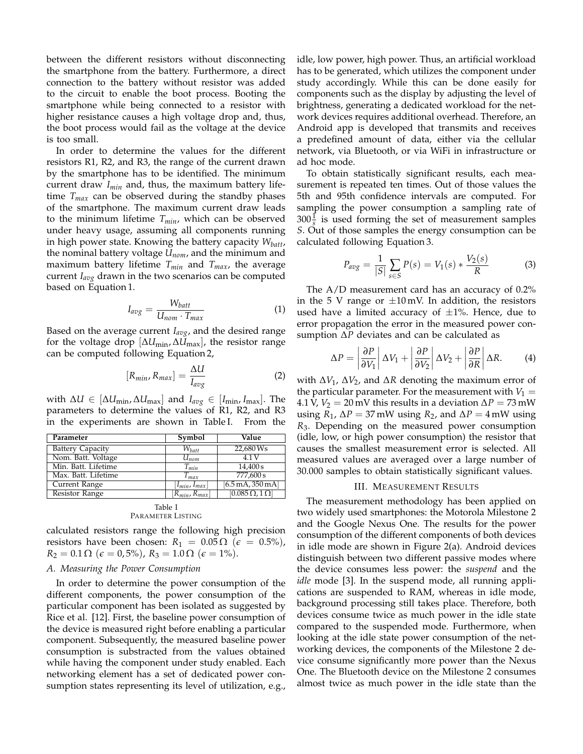between the different resistors without disconnecting the smartphone from the battery. Furthermore, a direct connection to the battery without resistor was added to the circuit to enable the boot process. Booting the smartphone while being connected to a resistor with higher resistance causes a high voltage drop and, thus, the boot process would fail as the voltage at the device is too small.

In order to determine the values for the different resistors R1, R2, and R3, the range of the current drawn by the smartphone has to be identified. The minimum current draw *Imin* and, thus, the maximum battery lifetime *Tmax* can be observed during the standby phases of the smartphone. The maximum current draw leads to the minimum lifetime *Tmin*, which can be observed under heavy usage, assuming all components running in high power state. Knowing the battery capacity *Wbatt*, the nominal battery voltage *Unom*, and the minimum and maximum battery lifetime *Tmin* and *Tmax*, the average current *Iavg* drawn in the two scenarios can be computed based on Equation 1.

$$
I_{avg} = \frac{W_{batt}}{U_{nom} \cdot T_{max}} \tag{1}
$$

Based on the average current *Iavg*, and the desired range for the voltage drop [∆*U*min, ∆*U*max], the resistor range can be computed following Equation 2,

$$
[R_{min}, R_{max}] = \frac{\Delta U}{I_{avg}} \tag{2}
$$

 $\text{with } \Delta U \in [\Delta U_{\text{min}}, \Delta U_{\text{max}}] \text{ and } I_{\text{avg}} \in [I_{\text{min}}, I_{\text{max}}]. \text{ The}$ parameters to determine the values of R1, R2, and R3 in the experiments are shown in Table I. From the

| Parameter               | Symbol               | Value                                    |  |  |
|-------------------------|----------------------|------------------------------------------|--|--|
| <b>Battery Capacity</b> | $W_{batt}$           | 22,680 Ws                                |  |  |
| Nom. Batt. Voltage      | $U_{nom}$            | 4.1 V                                    |  |  |
| Min. Batt. Lifetime     | $T_{min}$            | 14,400 s                                 |  |  |
| Max. Batt. Lifetime     | $T_{max}$            | 777,600 s                                |  |  |
| Current Range           | $ I_{min}, I_{max} $ | $[6.5 \,\mathrm{mA}, 350 \,\mathrm{mA}]$ |  |  |
| Resistor Range          | $[R_{min}, R_{max}]$ | $[0.085\,\Omega, 1\,\Omega]$             |  |  |
| Table I                 |                      |                                          |  |  |

| TAVIC 1           |  |
|-------------------|--|
| Parameter Listing |  |

calculated resistors range the following high precision resistors have been chosen:  $R_1 = 0.05 \Omega$  ( $\epsilon = 0.5\%$ ),  $R_2 = 0.1 \,\Omega \, (\epsilon = 0.5\%)$ ,  $R_3 = 1.0 \,\Omega \, (\epsilon = 1\%)$ .

# *A. Measuring the Power Consumption*

In order to determine the power consumption of the different components, the power consumption of the particular component has been isolated as suggested by Rice et al. [12]. First, the baseline power consumption of the device is measured right before enabling a particular component. Subsequently, the measured baseline power consumption is substracted from the values obtained while having the component under study enabled. Each networking element has a set of dedicated power consumption states representing its level of utilization, e.g., idle, low power, high power. Thus, an artificial workload has to be generated, which utilizes the component under study accordingly. While this can be done easily for components such as the display by adjusting the level of brightness, generating a dedicated workload for the network devices requires additional overhead. Therefore, an Android app is developed that transmits and receives a predefined amount of data, either via the cellular network, via Bluetooth, or via WiFi in infrastructure or ad hoc mode.

To obtain statistically significant results, each measurement is repeated ten times. Out of those values the 5th and 95th confidence intervals are computed. For sampling the power consumption a sampling rate of  $300\frac{1}{s}$  is used forming the set of measurement samples *S*. Out of those samples the energy consumption can be calculated following Equation 3.

$$
P_{avg} = \frac{1}{|S|} \sum_{s \in S} P(s) = V_1(s) * \frac{V_2(s)}{R}
$$
 (3)

The A/D measurement card has an accuracy of 0.2% in the 5 V range or  $\pm 10$  mV. In addition, the resistors used have a limited accuracy of  $\pm 1$ %. Hence, due to error propagation the error in the measured power consumption ∆*P* deviates and can be calculated as

$$
\Delta P = \left| \frac{\partial P}{\partial V_1} \right| \Delta V_1 + \left| \frac{\partial P}{\partial V_2} \right| \Delta V_2 + \left| \frac{\partial P}{\partial R} \right| \Delta R. \tag{4}
$$

with ∆*V*1, ∆*V*2, and ∆*R* denoting the maximum error of the particular parameter. For the measurement with  $V_1 =$ 4.1 V,  $V_2 = 20$  mV this results in a deviation  $\Delta P = 73$  mW using *R*<sub>1</sub>,  $\Delta P = 37$  mW using *R*<sub>2</sub>, and  $\Delta P = 4$  mW using *R*3. Depending on the measured power consumption (idle, low, or high power consumption) the resistor that causes the smallest measurement error is selected. All measured values are averaged over a large number of 30.000 samples to obtain statistically significant values.

#### III. MEASUREMENT RESULTS

The measurement methodology has been applied on two widely used smartphones: the Motorola Milestone 2 and the Google Nexus One. The results for the power consumption of the different components of both devices in idle mode are shown in Figure 2(a). Android devices distinguish between two different passive modes where the device consumes less power: the *suspend* and the *idle* mode [3]. In the suspend mode, all running applications are suspended to RAM, whereas in idle mode, background processing still takes place. Therefore, both devices consume twice as much power in the idle state compared to the suspended mode. Furthermore, when looking at the idle state power consumption of the networking devices, the components of the Milestone 2 device consume significantly more power than the Nexus One. The Bluetooth device on the Milestone 2 consumes almost twice as much power in the idle state than the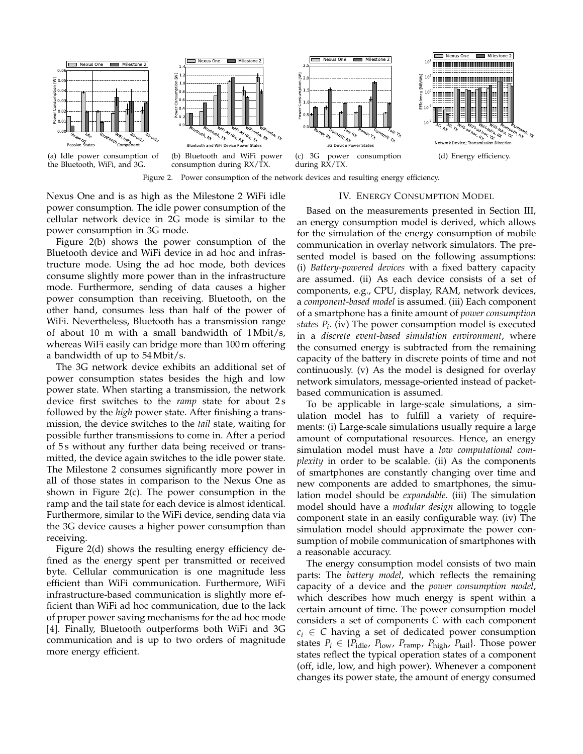

Nexus One and is as high as the Milestone 2 WiFi idle power consumption. The idle power consumption of the cellular network device in 2G mode is similar to the power consumption in 3G mode.

Figure 2(b) shows the power consumption of the Bluetooth device and WiFi device in ad hoc and infrastructure mode. Using the ad hoc mode, both devices consume slightly more power than in the infrastructure mode. Furthermore, sending of data causes a higher power consumption than receiving. Bluetooth, on the other hand, consumes less than half of the power of WiFi. Nevertheless, Bluetooth has a transmission range of about 10 m with a small bandwidth of 1 Mbit/s, whereas WiFi easily can bridge more than 100 m offering a bandwidth of up to 54 Mbit/s.

The 3G network device exhibits an additional set of power consumption states besides the high and low power state. When starting a transmission, the network device first switches to the *ramp* state for about 2 s followed by the *high* power state. After finishing a transmission, the device switches to the *tail* state, waiting for possible further transmissions to come in. After a period of 5 s without any further data being received or transmitted, the device again switches to the idle power state. The Milestone 2 consumes significantly more power in all of those states in comparison to the Nexus One as shown in Figure 2(c). The power consumption in the ramp and the tail state for each device is almost identical. Furthermore, similar to the WiFi device, sending data via the 3G device causes a higher power consumption than receiving.

Figure 2(d) shows the resulting energy efficiency defined as the energy spent per transmitted or received byte. Cellular communication is one magnitude less efficient than WiFi communication. Furthermore, WiFi infrastructure-based communication is slightly more efficient than WiFi ad hoc communication, due to the lack of proper power saving mechanisms for the ad hoc mode [4]. Finally, Bluetooth outperforms both WiFi and 3G communication and is up to two orders of magnitude more energy efficient.

# IV. ENERGY CONSUMPTION MODEL

Based on the measurements presented in Section III, an energy consumption model is derived, which allows for the simulation of the energy consumption of mobile communication in overlay network simulators. The presented model is based on the following assumptions: (i) *Battery-powered devices* with a fixed battery capacity are assumed. (ii) As each device consists of a set of components, e.g., CPU, display, RAM, network devices, a *component-based model* is assumed. (iii) Each component of a smartphone has a finite amount of *power consumption states P<sup>i</sup>* . (iv) The power consumption model is executed in a *discrete event-based simulation environment*, where the consumed energy is subtracted from the remaining capacity of the battery in discrete points of time and not continuously. (v) As the model is designed for overlay network simulators, message-oriented instead of packetbased communication is assumed.

To be applicable in large-scale simulations, a simulation model has to fulfill a variety of requirements: (i) Large-scale simulations usually require a large amount of computational resources. Hence, an energy simulation model must have a *low computational complexity* in order to be scalable. (ii) As the components of smartphones are constantly changing over time and new components are added to smartphones, the simulation model should be *expandable*. (iii) The simulation model should have a *modular design* allowing to toggle component state in an easily configurable way. (iv) The simulation model should approximate the power consumption of mobile communication of smartphones with a reasonable accuracy.

The energy consumption model consists of two main parts: The *battery model*, which reflects the remaining capacity of a device and the *power consumption model*, which describes how much energy is spent within a certain amount of time. The power consumption model considers a set of components *C* with each component  $c_i \in C$  having a set of dedicated power consumption states  $P_i \in \{P_{\text{idle}}, P_{\text{low}}, P_{\text{ramp}}, P_{\text{high}}, P_{\text{tail}}\}$ . Those power states reflect the typical operation states of a component (off, idle, low, and high power). Whenever a component changes its power state, the amount of energy consumed